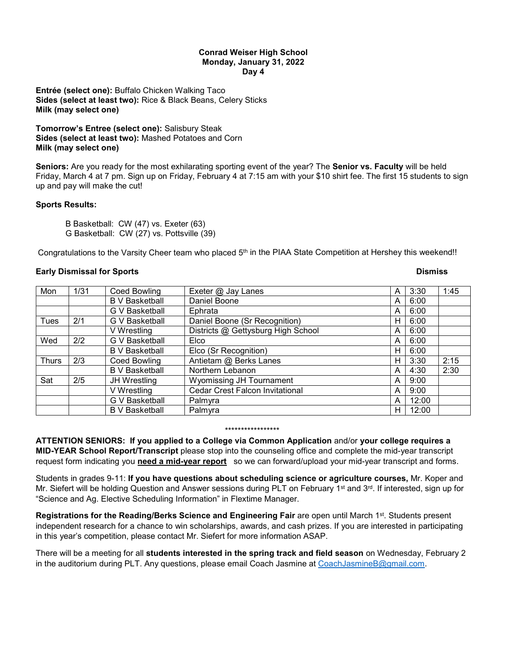### **Conrad Weiser High School Monday, January 31, 2022 Day 4**

**Entrée (select one):** Buffalo Chicken Walking Taco **Sides (select at least two):** Rice & Black Beans, Celery Sticks **Milk (may select one)**

**Tomorrow's Entree (select one):** Salisbury Steak **Sides (select at least two):** Mashed Potatoes and Corn **Milk (may select one)**

**Seniors:** Are you ready for the most exhilarating sporting event of the year? The **Senior vs. Faculty** will be held Friday, March 4 at 7 pm. Sign up on Friday, February 4 at 7:15 am with your \$10 shirt fee. The first 15 students to sign up and pay will make the cut!

## **Sports Results:**

B Basketball: CW (47) vs. Exeter (63) G Basketball: CW (27) vs. Pottsville (39)

Congratulations to the Varsity Cheer team who placed 5<sup>th</sup> in the PIAA State Competition at Hershey this weekend!!

# **Early Dismissal for Sports And Science And Science And Science And Science And Science And Science And Science A**

| Mon          | 1/31 | <b>Coed Bowling</b>   | Exeter @ Jay Lanes                     | A | 3:30  | 1:45 |
|--------------|------|-----------------------|----------------------------------------|---|-------|------|
|              |      | <b>B</b> V Basketball | Daniel Boone                           | A | 6:00  |      |
|              |      | G V Basketball        | Ephrata                                | A | 6:00  |      |
| Tues         | 2/1  | G V Basketball        | Daniel Boone (Sr Recognition)          | н | 6:00  |      |
|              |      | V Wrestling           | Districts @ Gettysburg High School     | A | 6:00  |      |
| Wed          | 2/2  | G V Basketball        | Elco                                   | A | 6:00  |      |
|              |      | <b>B</b> V Basketball | Elco (Sr Recognition)                  | н | 6:00  |      |
| <b>Thurs</b> | 2/3  | Coed Bowling          | Antietam @ Berks Lanes                 | н | 3:30  | 2:15 |
|              |      | <b>B</b> V Basketball | Northern Lebanon                       | A | 4:30  | 2:30 |
| Sat          | 2/5  | JH Wrestling          | <b>Wyomissing JH Tournament</b>        | A | 9:00  |      |
|              |      | V Wrestling           | <b>Cedar Crest Falcon Invitational</b> | A | 9:00  |      |
|              |      | G V Basketball        | Palmyra                                | A | 12:00 |      |
|              |      | <b>B</b> V Basketball | Palmyra                                | н | 12:00 |      |

#### \*\*\*\*\*\*\*\*\*\*\*\*\*\*\*\*\*

**ATTENTION SENIORS: If you applied to a College via Common Application** and/or **your college requires a MID-YEAR School Report/Transcript** please stop into the counseling office and complete the mid-year transcript request form indicating you **need a mid-year report** so we can forward/upload your mid-year transcript and forms.

Students in grades 9-11: **If you have questions about scheduling science or agriculture courses,** Mr. Koper and Mr. Siefert will be holding Question and Answer sessions during PLT on February 1<sup>st</sup> and 3<sup>rd</sup>. If interested, sign up for "Science and Ag. Elective Scheduling Information" in Flextime Manager.

Registrations for the Reading/Berks Science and Engineering Fair are open until March 1<sup>st</sup>. Students present independent research for a chance to win scholarships, awards, and cash prizes. If you are interested in participating in this year's competition, please contact Mr. Siefert for more information ASAP.

There will be a meeting for all **students interested in the spring track and field season** on Wednesday, February 2 in the auditorium during PLT. Any questions, please email Coach Jasmine at [CoachJasmineB@gmail.com.](mailto:CoachJasmineB@gmail.com)